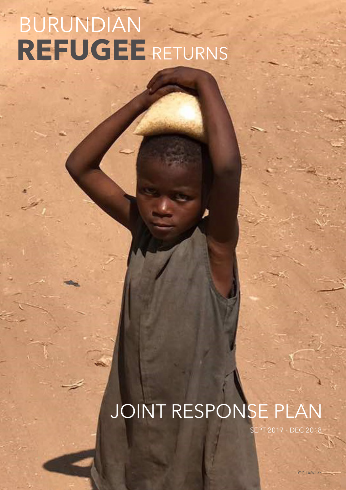## **REFUGEE** BURUNDIAN RETURNS

# JOINT RESPONSE PLAN

SEPT 2017 - DEC 2018

**OCHA/Villar**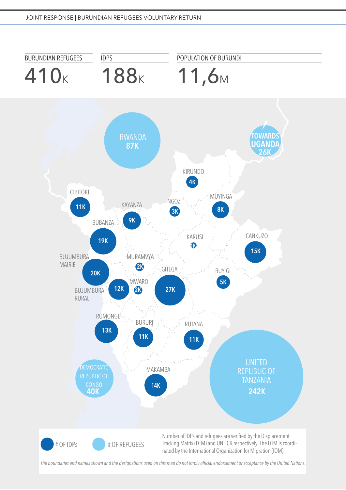

*The boundaries and names shown and the designations used on this map do not imply official endorsement or acceptance by the United Nations.*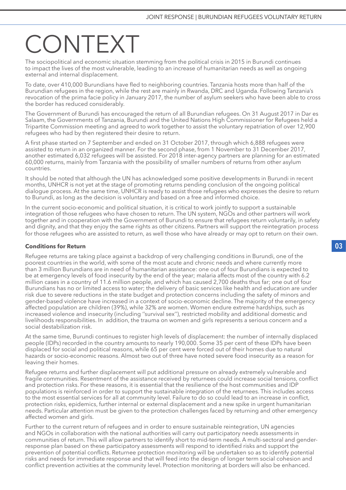# CONTEXT

The sociopolitical and economic situation stemming from the political crisis in 2015 in Burundi continues to impact the lives of the most vulnerable, leading to an increase of humanitarian needs as well as ongoing external and internal displacement.

To date, over 410,000 Burundians have fled to neighboring countries. Tanzania hosts more than half of the Burundian refugees in the region, while the rest are mainly in Rwanda, DRC and Uganda. Following Tanzania's revocation of the prima facie policy in January 2017, the number of asylum seekers who have been able to cross the border has reduced considerably.

The Government of Burundi has encouraged the return of all Burundian refugees. On 31 August 2017 in Dar es Salaam, the Governments of Tanzania, Burundi and the United Nations High Commissioner for Refugees held a Tripartite Commission meeting and agreed to work together to assist the voluntary repatriation of over 12,900 refugees who had by then registered their desire to return.

A first phase started on 7 September and ended on 31 October 2017, through which 6,888 refugees were assisted to return in an organized manner. For the second phase, from 1 November to 31 December 2017, another estimated 6,032 refugees will be assisted. For 2018 inter-agency partners are planning for an estimated 60,000 returns, mainly from Tanzania with the possibility of smaller numbers of returns from other asylum countries.

It should be noted that although the UN has acknowledged some positive developments in Burundi in recent months, UNHCR is not yet at the stage of promoting returns pending conclusion of the ongoing political dialogue process. At the same time, UNHCR is ready to assist those refugees who expresses the desire to return to Burundi, as long as the decision is voluntary and based on a free and informed choice.

In the current socio-economic and political situation, it is critical to work jointly to support a sustainable integration of those refugees who have chosen to return. The UN system, NGOs and other partners will work together and in cooperation with the Government of Burundi to ensure that refugees return voluntarily, in safety and dignity, and that they enjoy the same rights as other citizens. Partners will support the reintegration process for those refugees who are assisted to return, as well those who have already or may opt to return on their own.

#### **Conditions for Return**

Refugee returns are taking place against a backdrop of very challenging conditions in Burundi, one of the poorest countries in the world, with some of the most acute and chronic needs and where currently more than 3 million Burundians are in need of humanitarian assistance: one out of four Burundians is expected to be at emergency levels of food insecurity by the end of the year; malaria affects most of the country with 6.2 million cases in a country of 11.6 million people, and which has caused 2,700 deaths thus far; one out of four Burundians has no or limited access to water; the delivery of basic services like health and education are under risk due to severe reductions in the state budget and protection concerns including the safety of minors and gender-based violence have increased in a context of socio-economic decline. The majority of the emergency affected population are children (39%), while 32% are women. Women endure extreme hardships, such as increased violence and insecurity (including ''survival sex''), restricted mobility and additional domestic and livelihoods responsibilities. In addition, the trauma on women and girls represents a serious concern and a social destabilization risk.

At the same time, Burundi continues to register high levels of displacement: the number of internally displaced people (IDPs) recorded in the country amounts to nearly 190,000. Some 35 per cent of these IDPs have been displaced for social and political reasons, while 65 per cent were forced out of their homes due to natural hazards or socio-economic reasons. Almost two out of three have noted severe food insecurity as a reason for leaving their homes.

Refugee returns and further displacement will put additional pressure on already extremely vulnerable and fragile communities. Resentment of the assistance received by returnees could increase social tensions, conflict and protection risks. For these reasons, it is essential that the resilience of the host communities and IDP populations is reinforced in order to support the sustainable integration of the returnees. This includes access to the most essential services for all at community level. Failure to do so could lead to an increase in conflict, protection risks, epidemics, further internal or external displacement and a new spike in urgent humanitarian needs. Particular attention must be given to the protection challenges faced by returning and other emergency affected women and girls.

Further to the current return of refugees and in order to ensure sustainable reintegration, UN agencies and NGOs in collaboration with the national authorities will carry out participatory needs assessments in communities of return. This will allow partners to identify short to mid-term needs. A multi-sectoral and genderresponse plan based on these participatory assessments will respond to identified risks and support the prevention of potential conflicts. Returnee protection monitoring will be undertaken so as to identify potential risks and needs for immediate response and that will feed into the design of longer term social cohesion and conflict prevention activities at the community level. Protection monitoring at borders will also be enhanced.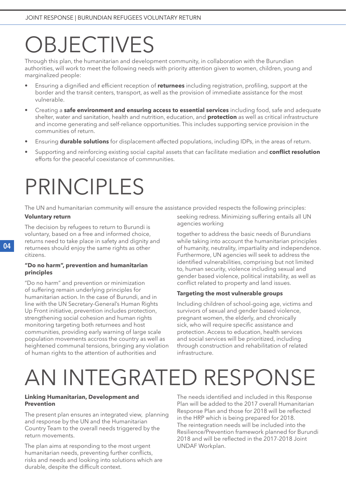# **OBJECTIVES**

Through this plan, the humanitarian and development community, in collaboration with the Burundian authorities, will work to meet the following needs with priority attention given to women, children, young and marginalized people:

- Ensuring a dignified and efficient reception of **returnees** including registration, profiling, support at the border and the transit centers, transport, as well as the provision of immediate assistance for the most vulnerable.
- Creating a **safe environment and ensuring access to essential services** including food, safe and adequate shelter, water and sanitation, health and nutrition, education, and **protection** as well as critical infrastructure and income generating and self-reliance opportunities. This includes supporting service provision in the communities of return.
- Ensuring **durable solutions** for displacement-affected populations, including IDPs, in the areas of return.
- Supporting and reinforcing existing social capital assets that can facilitate mediation and **conflict resolution** efforts for the peaceful coexistance of commnunities.

## PRINCIPLES

The UN and humanitarian community will ensure the assistance provided respects the following principles:

#### **Voluntary return**

The decision by refugees to return to Burundi is voluntary, based on a free and informed choice, returns need to take place in safety and dignity and returnees should enjoy the same rights as other citizens.

#### **"Do no harm", prevention and humanitarian principles**

"Do no harm" and prevention or minimization of suffering remain underlying principles for humanitarian action. In the case of Burundi, and in line with the UN Secretary-General's Human Rights Up Front initiative, prevention includes protection, strengthening social cohesion and human rights monitoring targeting both returnees and host communities, providing early warning of large scale population movements accross the country as well as heightened communal tensions, bringing any violation of human rights to the attention of authorities and

seeking redress. Minimizing suffering entails all UN agencies working

together to address the basic needs of Burundians while taking into account the humanitarian principles of humanity, neutrality, impartiality and independence. Furthermore, UN agencies will seek to address the identified vulnerabilities, comprising but not limited to, human security, violence including sexual and gender based violence, political instability, as well as conflict related to property and land issues.

#### **Targeting the most vulnerable groups**

Including children of school-going age, victims and survivors of sexual and gender based violence, pregnant women, the elderly, and chronically sick, who will require specific assistance and protection. Access to education, health services and social services will be prioritized, including through construction and rehabilitation of related infrastructure.

## AN INTEGRATED RESPONSE

#### **Linking Humanitarian, Development and Prevention**

The present plan ensures an integrated view, planning and response by the UN and the Humanitarian Country Team to the overall needs triggered by the return movements.

The plan aims at responding to the most urgent humanitarian needs, preventing further conflicts, risks and needs and looking into solutions which are durable, despite the difficult context.

The needs identified and included in this Response Plan will be added to the 2017 overall Humanitarian Response Plan and those for 2018 will be reflected in the HRP which is being prepared for 2018. The reintegration needs will be included into the Resilience/Prevention framework planned for Burundi 2018 and will be reflected in the 2017-2018 Joint UNDAF Workplan.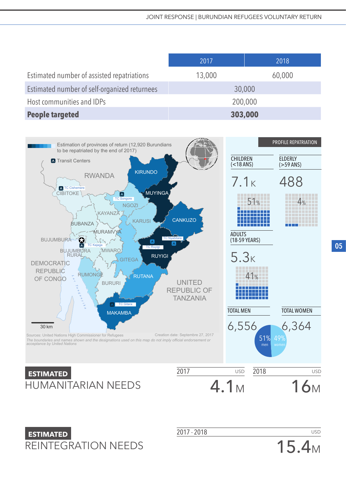|                                              | 2017    | 2018   |
|----------------------------------------------|---------|--------|
| Estimated number of assisted repatriations   | 13,000  | 60,000 |
| Estimated number of self-organized returnees | 30,000  |        |
| Host communities and IDPs                    | 200,000 |        |
| <b>People targeted</b>                       | 303,000 |        |



**ESTIMATED** REINTEGRATION NEEDS 2017 - 2018

USD

15.4<sub>M</sub>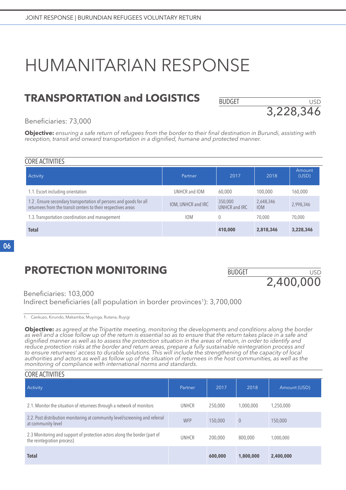## HUMANITARIAN RESPONSE

## **TRANSPORTATION and LOGISTICS** BUDGET



Beneficiaries: 73,000

**Objective:** *ensuring a safe return of refugees from the border to their final destination in Burundi, assisting with reception, transit and onward transportation in a dignified, humane and protected manner.* 

| Activity                                                                                                                            | Partner            | 2017                     | 2018                    | Amount<br>(USD) |
|-------------------------------------------------------------------------------------------------------------------------------------|--------------------|--------------------------|-------------------------|-----------------|
| 1.1. Escort including orientation                                                                                                   | UNHCR and IOM      | 60,000                   | 100,000                 | 160,000         |
| 1.2 . Ensure secondary transportation of persons and goods for all<br>returnees from the transit centers to their respectives areas | IOM, UNHCR and IRC | 350,000<br>UNHCR and IRC | 2,648,346<br><b>IOM</b> | 2,998,346       |
| 1.3. Transportation coordination and management                                                                                     | <b>IOM</b>         | 0                        | 70,000                  | 70,000          |
| <b>Total</b>                                                                                                                        |                    | 410,000                  | 2,818,346               | 3,228,346       |

## **PROTECTION MONITORING**

BUDGET

2,400,000 USD

#### Beneficiaries: 103,000 Indirect beneficiaries (all population in border provinces<sup>1</sup>): 3,700,000

1. Cankuzo, Kirundo, Makamba, Muyinga, Rutana, Ruyigi

**Objective:** as agreed at the Tripartite meeting, monitoring the developments and conditions along the border as well and a close follow up of the return is essential so as to ensure that the return takes place in a safe a *dignified manner as well as to assess the protection situation in the areas of return, in order to identify and*  reduce protection risks at the border and return areas, prepare a fully sustainable reintegration process and *to ensure returnees' access to durable solutions. This will include the strengthening of the capacity of local authorities and actors as well as follow up of the situation of returnees in the host communities, as well as the monitoring of compliance with international norms and standards.*

#### CORE ACTIVITIES

| Activity                                                                                                | Partner      | 2017    | 2018      | Amount (USD) |
|---------------------------------------------------------------------------------------------------------|--------------|---------|-----------|--------------|
| 2.1. Monitor the situation of returnees through a network of monitors                                   | <b>UNHCR</b> | 250,000 | 1,000,000 | 1,250,000    |
| 2.2. Post distribution monitoring at community level/screening and referral<br>at community level       | <b>WFP</b>   | 150,000 | $\theta$  | 150,000      |
| 2.3 Monitoring and support of protection actors along the border (part of<br>the reintegration process) | <b>UNHCR</b> | 200,000 | 800,000   | 1,000,000    |
| <b>Total</b>                                                                                            |              | 600,000 | 1,800,000 | 2,400,000    |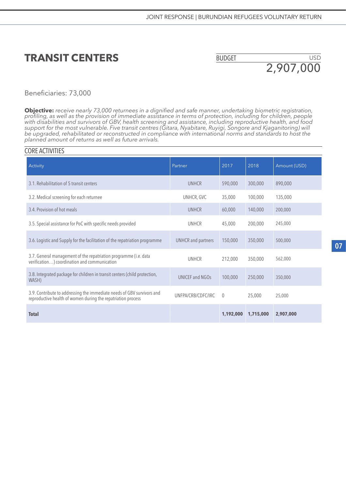### **TRANSIT CENTERS** BUDGET



#### Beneficiaries: 73,000

**Objective:** receive nearly 73,000 returnees in a dignified and safe manner, undertaking biometric registration,<br>profiling, as well as the provision of immediate assistance in terms of protection, including for children, p *with disabilities and survivors of GBV, health screening and assistance, including reproductive health, and food support for the most vulnerable. Five transit centres (Gitara, Nyabitare, Ruyigi, Songore and Kjaganitoring) will be upgraded, rehabilitated or reconstructed in compliance with international norms and standards to host the planned amount of returns as well as future arrivals.*

| <b>CORE ACTIVITIES</b>                                                                                                                 |                           |           |           |              |
|----------------------------------------------------------------------------------------------------------------------------------------|---------------------------|-----------|-----------|--------------|
| Activity                                                                                                                               | Partner                   |           | 2018      | Amount (USD) |
| 3.1. Rehabilitation of 5 transit centers                                                                                               | <b>UNHCR</b>              | 590,000   | 300,000   | 890,000      |
| 3.2. Medical screening for each returnee                                                                                               | UNHCR, GVC                | 35,000    | 100,000   | 135,000      |
| 3.4. Provision of hot meals                                                                                                            | <b>UNHCR</b>              | 60,000    | 140,000   | 200,000      |
| 3.5. Special assistance for PoC with specific needs provided                                                                           | <b>UNHCR</b>              | 45,000    | 200,000   | 245,000      |
| 3.6. Logistic and Supply for the facilitation of the repatriation programme                                                            | <b>UNHCR</b> and partners | 150,000   | 350,000   | 500,000      |
| 3.7. General management of the repatriation programme (i.e. data<br>verification) coordination and communication                       | <b>UNHCR</b>              | 212,000   | 350,000   | 562,000      |
| 3.8. Integrated package for children in transit centers (child protection,<br>WASH)                                                    | <b>UNICEF and NGOs</b>    | 100,000   | 250,000   | 350,000      |
| 3.9. Contribute to addressing the immediate needs of GBV survivors and<br>reproductive health of women during the repatriation process | UNFPA/CRB/CDFC/IRC        | $\theta$  | 25,000    | 25,000       |
| <b>Total</b>                                                                                                                           |                           | 1,192,000 | 1,715,000 | 2,907,000    |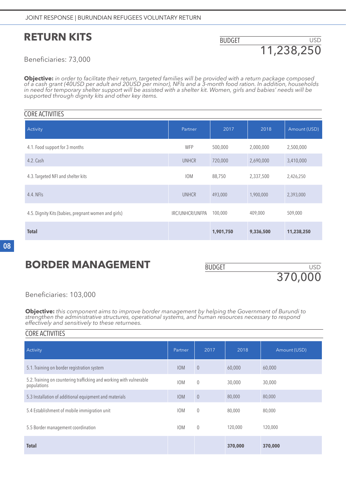### **RETURN KITS**

#### BUDGET

11,238,250 USD

Beneficiaries: 73,000

**Objective:** *in order to facilitate their return, targeted families will be provided with a return package composed of a cash grant (40USD per adult and 20USD per minor), NFIs and a 3-month food ration. In addition, households in need for temporary shelter support will be assisted with a shelter kit. Women, girls and babies' needs will be supported through dignity kits and other key items.*

| <b>CORE ACTIVITIES</b>                               |                 |           |           |              |
|------------------------------------------------------|-----------------|-----------|-----------|--------------|
| Activity                                             | Partner         | 2017      | 2018      | Amount (USD) |
| 4.1. Food support for 3 months                       | <b>WFP</b>      | 500,000   | 2,000,000 | 2,500,000    |
| 4.2. Cash                                            | <b>UNHCR</b>    | 720,000   | 2,690,000 | 3,410,000    |
| 4.3. Targeted NFI and shelter kits                   | <b>IOM</b>      | 88,750    | 2,337,500 | 2,426,250    |
| 4.4. NFIs                                            | <b>UNHCR</b>    | 493,000   | 1,900,000 | 2,393,000    |
| 4.5. Dignity Kits (babies, pregnant women and girls) | IRC/UNHCR/UNFPA | 100,000   | 409,000   | 509,000      |
| <b>Total</b>                                         |                 | 1,901,750 | 9,336,500 | 11,238,250   |

### **BORDER MANAGEMENT**

| <b>BUDGET</b> |         |
|---------------|---------|
|               | 370,000 |

Beneficiaries: 103,000

CORE ACTIVITIES

**Objective:** *this component aims to improve border management by helping the Government of Burundi to strengthen the administrative structures, operational systems, and human resources necessary to respond effectively and sensitively to these returnees.*

| Activity                                                                           | Partner    | 2017     | 2018    | Amount (USD) |
|------------------------------------------------------------------------------------|------------|----------|---------|--------------|
| 5.1. Training on border registration system                                        | <b>IOM</b> | $\theta$ | 60,000  | 60,000       |
| 5.2. Training on countering trafficking and working with vulnerable<br>populations | <b>IOM</b> | $\theta$ | 30,000  | 30,000       |
| 5.3 Installation of additional equipment and materials                             | <b>IOM</b> | $\theta$ | 80,000  | 80,000       |
| 5.4 Establishment of mobile immigration unit                                       | <b>IOM</b> | $\theta$ | 80,000  | 80,000       |
| 5.5 Border management coordination                                                 | <b>IOM</b> | $\theta$ | 120,000 | 120,000      |
| <b>Total</b>                                                                       |            |          | 370,000 | 370,000      |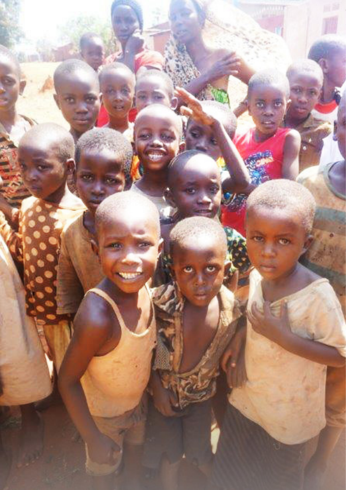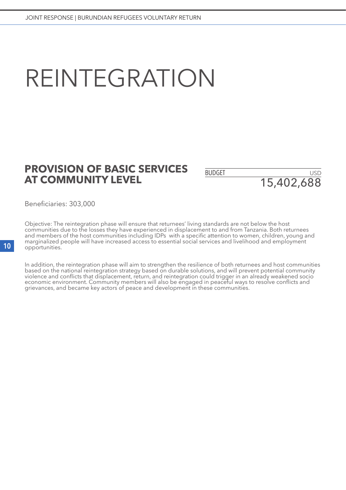# REINTEGRATION

### **PROVISION OF BASIC SERVICES AT COMMUNITY LEVEL**

BUDGET

15,402,688 USD

Beneficiaries: 303,000

Objective: The reintegration phase will ensure that returnees' living standards are not below the host communities due to the losses they have experienced in displacement to and from Tanzania. Both returnees and members of the host communities including IDPs with a specific attention to women, children, young and marginalized people will have increased access to essential social services and livelihood and employment opportunities.

In addition, the reintegration phase will aim to strengthen the resilience of both returnees and host communities based on the national reintegration strategy based on durable solutions, and will prevent potential community violence and conflicts that displacement, return, and reintegration could trigger in an already weakened socio economic environment. Community members will also be engaged in peaceful ways to resolve conflicts and grievances, and became key actors of peace and development in these communities.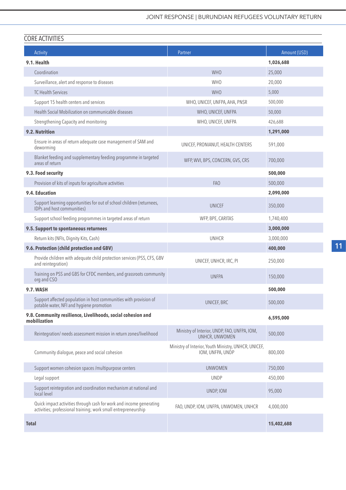#### JOINT RESPONSE | BURUNDIAN REFUGEES VOLUNTARY RETURN

#### CORE ACTIVITIES

| Activity                                                                                                                              | Partner                                                                  | Amount (USD) |
|---------------------------------------------------------------------------------------------------------------------------------------|--------------------------------------------------------------------------|--------------|
| 9.1. Health                                                                                                                           |                                                                          | 1,026,688    |
| Coordination                                                                                                                          | <b>WHO</b>                                                               | 25,000       |
| Surveillance, alert and response to diseases                                                                                          | <b>WHO</b>                                                               | 20,000       |
| <b>TC Health Services</b>                                                                                                             | <b>WHO</b>                                                               | 5,000        |
| Support 15 health centers and services                                                                                                | WHO, UNICEF, UNFPA, AHA, PNSR                                            | 500,000      |
| Health Social Mobilization on communicable diseases                                                                                   | WHO, UNICEF, UNFPA                                                       | 50,000       |
| Strengthening Capacity and monitoring                                                                                                 | WHO, UNICEF, UNFPA                                                       | 426,688      |
| 9.2. Nutrition                                                                                                                        |                                                                          | 1,291,000    |
| Ensure in areas of return adequate case management of SAM and<br>deworming                                                            | UNICEF, PRONIANUT, HEALTH CENTERS                                        | 591,000      |
| Blanket feeding and supplementary feeding programme in targeted<br>areas of return                                                    | WFP, WVI, BPS, CONCERN, GVS, CRS                                         | 700,000      |
| 9.3. Food security                                                                                                                    |                                                                          | 500,000      |
| Provision of kits of inputs for agriculture activities                                                                                | <b>FAO</b>                                                               | 500,000      |
| 9.4. Education                                                                                                                        |                                                                          | 2,090,000    |
| Support learning opportunities for out of school children (returnees,<br>IDPs and host communities)                                   | <b>UNICEF</b>                                                            | 350,000      |
| Support school feeding programmes in targeted areas of return                                                                         | WFP, BPE, CARITAS                                                        | 1,740,400    |
| 9.5. Support to spontaneous returnees                                                                                                 |                                                                          | 3,000,000    |
| Return kits (NFIs, Dignity Kits, Cash)                                                                                                | <b>UNHCR</b>                                                             | 3,000,000    |
| 9.6. Protection (child protection and GBV)                                                                                            |                                                                          | 400,000      |
| Provide children with adequate child protection services (PSS, CFS, GBV<br>and reintegration)                                         | UNICEF, UNHCR, IRC, PI                                                   | 250,000      |
| Training on PSS and GBS for CFDC members, and grassroots community<br>org and CSO                                                     | <b>UNFPA</b>                                                             | 150,000      |
| <b>9.7. WASH</b>                                                                                                                      |                                                                          | 500,000      |
| Support affected population in host communities with provision of<br>potable water, NFI and hygiene promotion                         | UNICEF, BRC                                                              | 500,000      |
| 9.8. Community resilience, Livelihoods, social cohesion and<br>mobilization                                                           |                                                                          | 6,595,000    |
| Reintegration/ needs assessment mission in return zones/livelihood                                                                    | Ministry of Interior, UNDP, FAO, UNFPA, IOM,<br>UNHCR, UNWOMEN           | 500,000      |
| Community dialogue, peace and social cohesion                                                                                         | Ministry of Interior, Youth Ministry, UNHCR, UNICEF,<br>IOM, UNFPA, UNDP | 800,000      |
| Support women cohesion spaces /multipurpose centers                                                                                   | <b>UNWOMEN</b>                                                           | 750,000      |
| Legal support                                                                                                                         | <b>UNDP</b>                                                              | 450,000      |
| Support reintegration and coordination mechanism at national and<br>local level                                                       | UNDP, IOM                                                                | 95,000       |
| Quick impact activities through cash for work and income generating<br>activities; professional training; work small entrepreneurship | FAO, UNDP, IOM, UNFPA, UNWOMEN, UNHCR                                    | 4,000,000    |
| <b>Total</b>                                                                                                                          |                                                                          | 15,402,688   |